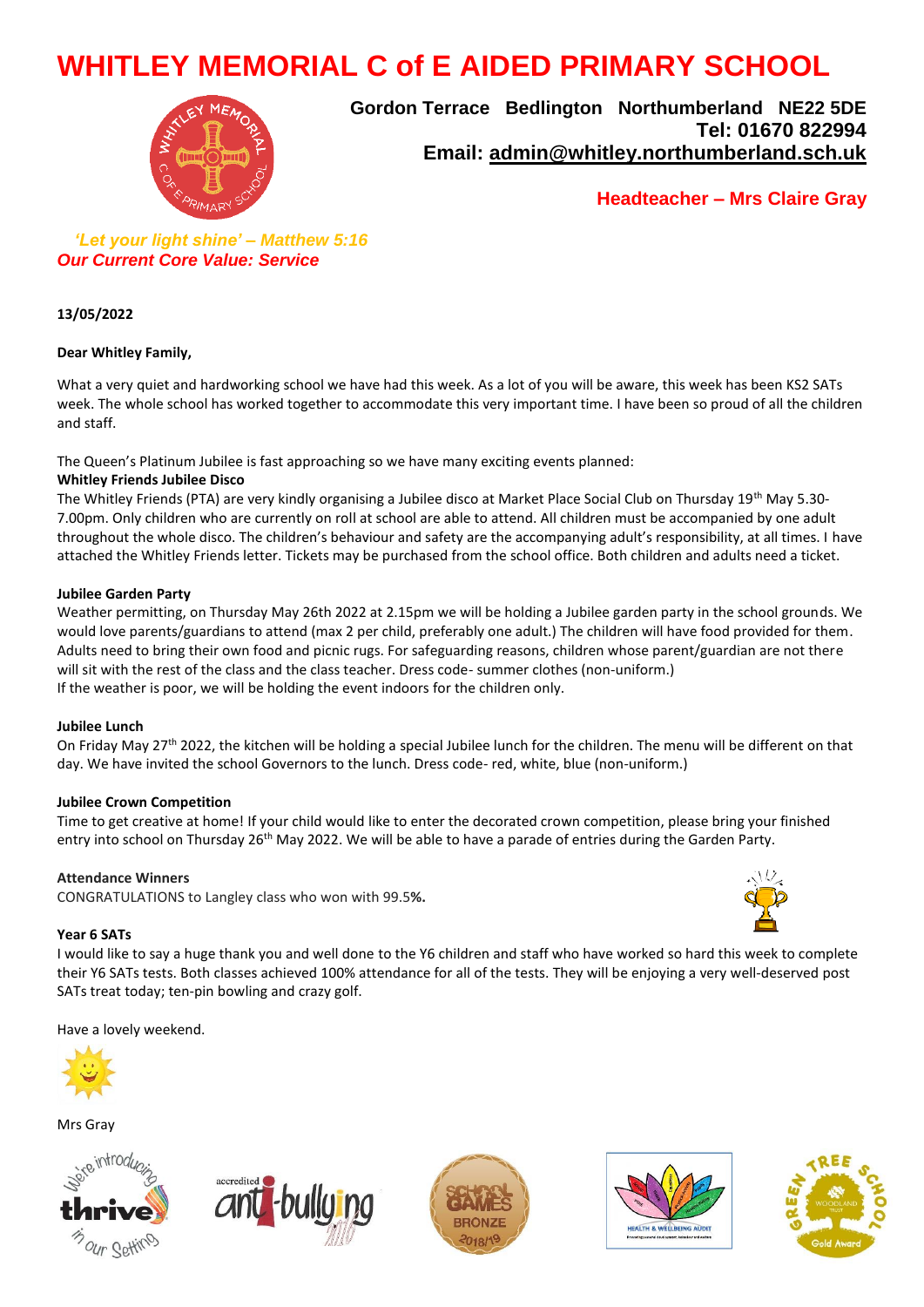# **WHITLEY MEMORIAL C of E AIDED PRIMARY SCHOOL**



**Gordon Terrace Bedlington Northumberland NE22 5DE Tel: 01670 822994 Email: [admin@whitley.northumberland.sch.uk](mailto:admin@whitley.northumberland.sch.uk)**

**Headteacher – Mrs Claire Gray** 

 *'Let your light shine' – Matthew 5:16 Our Current Core Value: Service*

**13/05/2022**

### **Dear Whitley Family,**

What a very quiet and hardworking school we have had this week. As a lot of you will be aware, this week has been KS2 SATs week. The whole school has worked together to accommodate this very important time. I have been so proud of all the children and staff.

The Queen's Platinum Jubilee is fast approaching so we have many exciting events planned:

### **Whitley Friends Jubilee Disco**

The Whitley Friends (PTA) are very kindly organising a Jubilee disco at Market Place Social Club on Thursday 19th May 5.30- 7.00pm. Only children who are currently on roll at school are able to attend. All children must be accompanied by one adult throughout the whole disco. The children's behaviour and safety are the accompanying adult's responsibility, at all times. I have attached the Whitley Friends letter. Tickets may be purchased from the school office. Both children and adults need a ticket.

#### **Jubilee Garden Party**

Weather permitting, on Thursday May 26th 2022 at 2.15pm we will be holding a Jubilee garden party in the school grounds. We would love parents/guardians to attend (max 2 per child, preferably one adult.) The children will have food provided for them. Adults need to bring their own food and picnic rugs. For safeguarding reasons, children whose parent/guardian are not there will sit with the rest of the class and the class teacher. Dress code- summer clothes (non-uniform.) If the weather is poor, we will be holding the event indoors for the children only.

### **Jubilee Lunch**

On Friday May 27<sup>th</sup> 2022, the kitchen will be holding a special Jubilee lunch for the children. The menu will be different on that day. We have invited the school Governors to the lunch. Dress code- red, white, blue (non-uniform.)

### **Jubilee Crown Competition**

Time to get creative at home! If your child would like to enter the decorated crown competition, please bring your finished entry into school on Thursday 26<sup>th</sup> May 2022. We will be able to have a parade of entries during the Garden Party.

### **Attendance Winners**

CONGRATULATIONS to Langley class who won with 99.5**%.**

#### **Year 6 SATs**

I would like to say a huge thank you and well done to the Y6 children and staff who have worked so hard this week to complete their Y6 SATs tests. Both classes achieved 100% attendance for all of the tests. They will be enjoying a very well-deserved post SATs treat today; ten-pin bowling and crazy golf.

Have a lovely weekend.



Mrs Gray